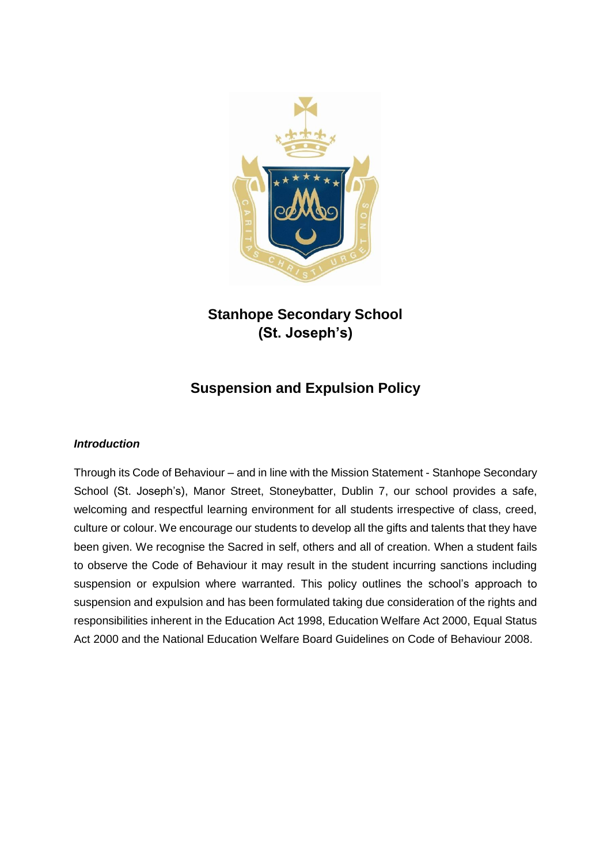

# **Stanhope Secondary School (St. Joseph's)**

# **Suspension and Expulsion Policy**

#### *Introduction*

Through its Code of Behaviour – and in line with the Mission Statement - Stanhope Secondary School (St. Joseph's), Manor Street, Stoneybatter, Dublin 7, our school provides a safe, welcoming and respectful learning environment for all students irrespective of class, creed, culture or colour. We encourage our students to develop all the gifts and talents that they have been given. We recognise the Sacred in self, others and all of creation. When a student fails to observe the Code of Behaviour it may result in the student incurring sanctions including suspension or expulsion where warranted. This policy outlines the school's approach to suspension and expulsion and has been formulated taking due consideration of the rights and responsibilities inherent in the Education Act 1998, Education Welfare Act 2000, Equal Status Act 2000 and the National Education Welfare Board Guidelines on Code of Behaviour 2008.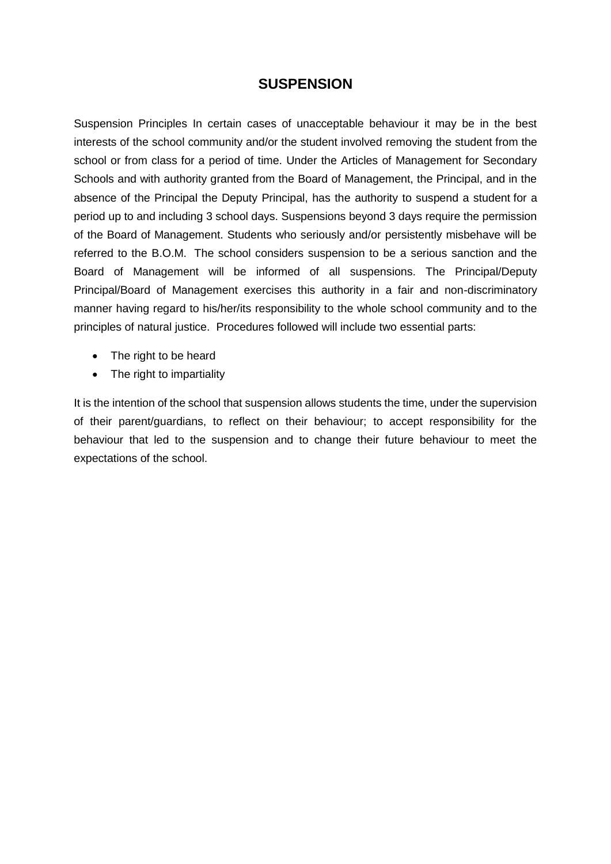# **SUSPENSION**

Suspension Principles In certain cases of unacceptable behaviour it may be in the best interests of the school community and/or the student involved removing the student from the school or from class for a period of time. Under the Articles of Management for Secondary Schools and with authority granted from the Board of Management, the Principal, and in the absence of the Principal the Deputy Principal, has the authority to suspend a student for a period up to and including 3 school days. Suspensions beyond 3 days require the permission of the Board of Management. Students who seriously and/or persistently misbehave will be referred to the B.O.M. The school considers suspension to be a serious sanction and the Board of Management will be informed of all suspensions. The Principal/Deputy Principal/Board of Management exercises this authority in a fair and non-discriminatory manner having regard to his/her/its responsibility to the whole school community and to the principles of natural justice. Procedures followed will include two essential parts:

- The right to be heard
- The right to impartiality

It is the intention of the school that suspension allows students the time, under the supervision of their parent/guardians, to reflect on their behaviour; to accept responsibility for the behaviour that led to the suspension and to change their future behaviour to meet the expectations of the school.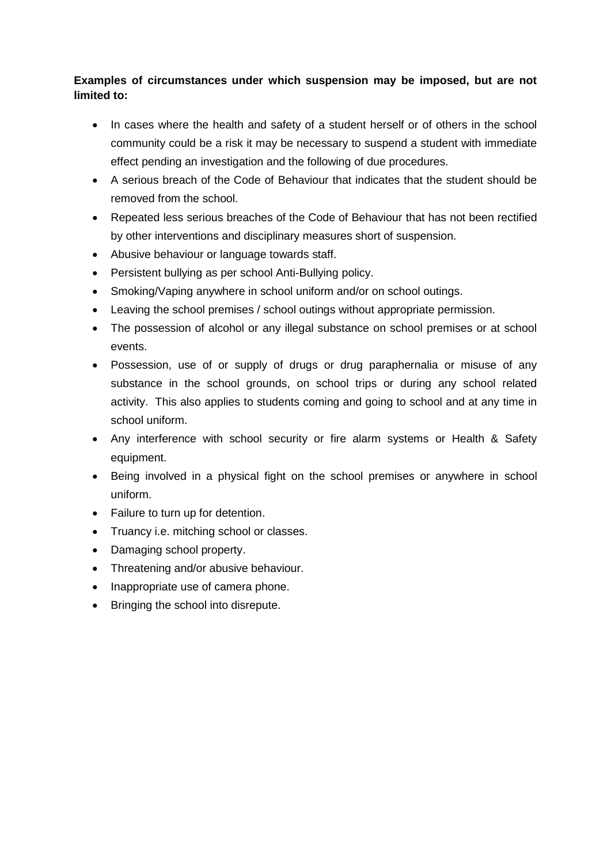# **Examples of circumstances under which suspension may be imposed, but are not limited to:**

- In cases where the health and safety of a student herself or of others in the school community could be a risk it may be necessary to suspend a student with immediate effect pending an investigation and the following of due procedures.
- A serious breach of the Code of Behaviour that indicates that the student should be removed from the school.
- Repeated less serious breaches of the Code of Behaviour that has not been rectified by other interventions and disciplinary measures short of suspension.
- Abusive behaviour or language towards staff.
- Persistent bullying as per school Anti-Bullying policy.
- Smoking/Vaping anywhere in school uniform and/or on school outings.
- Leaving the school premises / school outings without appropriate permission.
- The possession of alcohol or any illegal substance on school premises or at school events.
- Possession, use of or supply of drugs or drug paraphernalia or misuse of any substance in the school grounds, on school trips or during any school related activity. This also applies to students coming and going to school and at any time in school uniform.
- Any interference with school security or fire alarm systems or Health & Safety equipment.
- Being involved in a physical fight on the school premises or anywhere in school uniform.
- Failure to turn up for detention.
- Truancy i.e. mitching school or classes.
- Damaging school property.
- Threatening and/or abusive behaviour.
- Inappropriate use of camera phone.
- Bringing the school into disrepute.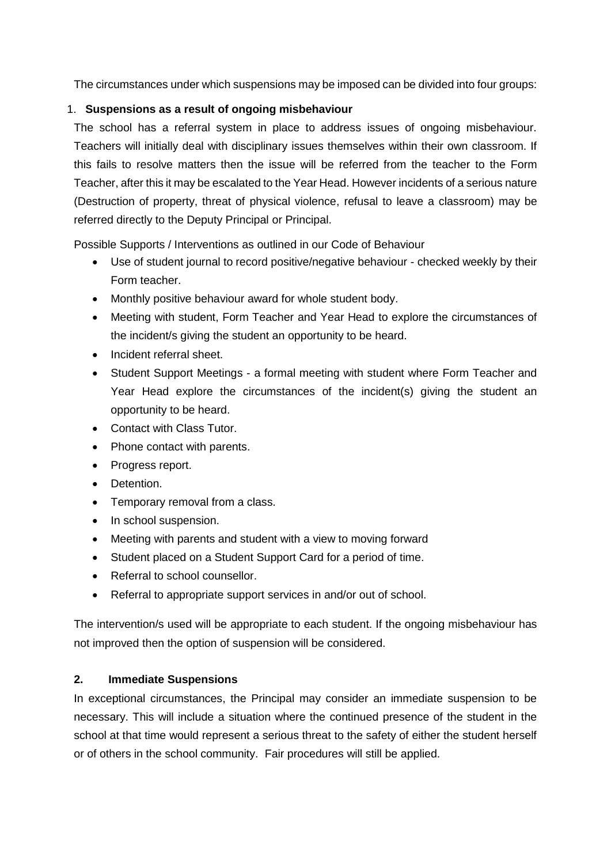The circumstances under which suspensions may be imposed can be divided into four groups:

# 1. **Suspensions as a result of ongoing misbehaviour**

The school has a referral system in place to address issues of ongoing misbehaviour. Teachers will initially deal with disciplinary issues themselves within their own classroom. If this fails to resolve matters then the issue will be referred from the teacher to the Form Teacher, after this it may be escalated to the Year Head. However incidents of a serious nature (Destruction of property, threat of physical violence, refusal to leave a classroom) may be referred directly to the Deputy Principal or Principal.

Possible Supports / Interventions as outlined in our Code of Behaviour

- Use of student journal to record positive/negative behaviour checked weekly by their Form teacher.
- Monthly positive behaviour award for whole student body.
- Meeting with student, Form Teacher and Year Head to explore the circumstances of the incident/s giving the student an opportunity to be heard.
- Incident referral sheet.
- Student Support Meetings a formal meeting with student where Form Teacher and Year Head explore the circumstances of the incident(s) giving the student an opportunity to be heard.
- Contact with Class Tutor.
- Phone contact with parents.
- Progress report.
- Detention.
- Temporary removal from a class.
- In school suspension.
- Meeting with parents and student with a view to moving forward
- Student placed on a Student Support Card for a period of time.
- Referral to school counsellor.
- Referral to appropriate support services in and/or out of school.

The intervention/s used will be appropriate to each student. If the ongoing misbehaviour has not improved then the option of suspension will be considered.

# **2. Immediate Suspensions**

In exceptional circumstances, the Principal may consider an immediate suspension to be necessary. This will include a situation where the continued presence of the student in the school at that time would represent a serious threat to the safety of either the student herself or of others in the school community. Fair procedures will still be applied.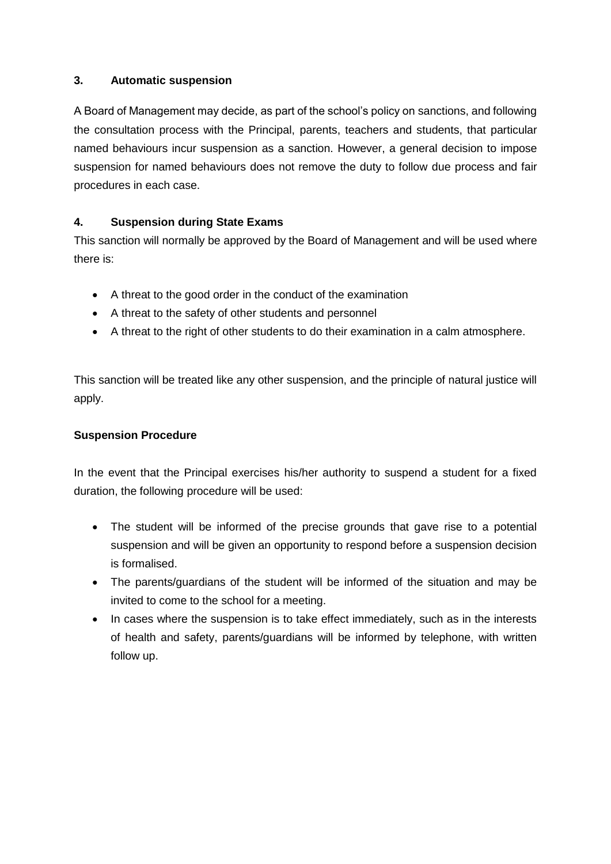#### **3. Automatic suspension**

A Board of Management may decide, as part of the school's policy on sanctions, and following the consultation process with the Principal, parents, teachers and students, that particular named behaviours incur suspension as a sanction. However, a general decision to impose suspension for named behaviours does not remove the duty to follow due process and fair procedures in each case.

# **4. Suspension during State Exams**

This sanction will normally be approved by the Board of Management and will be used where there is:

- A threat to the good order in the conduct of the examination
- A threat to the safety of other students and personnel
- A threat to the right of other students to do their examination in a calm atmosphere.

This sanction will be treated like any other suspension, and the principle of natural justice will apply.

# **Suspension Procedure**

In the event that the Principal exercises his/her authority to suspend a student for a fixed duration, the following procedure will be used:

- The student will be informed of the precise grounds that gave rise to a potential suspension and will be given an opportunity to respond before a suspension decision is formalised.
- The parents/guardians of the student will be informed of the situation and may be invited to come to the school for a meeting.
- In cases where the suspension is to take effect immediately, such as in the interests of health and safety, parents/guardians will be informed by telephone, with written follow up.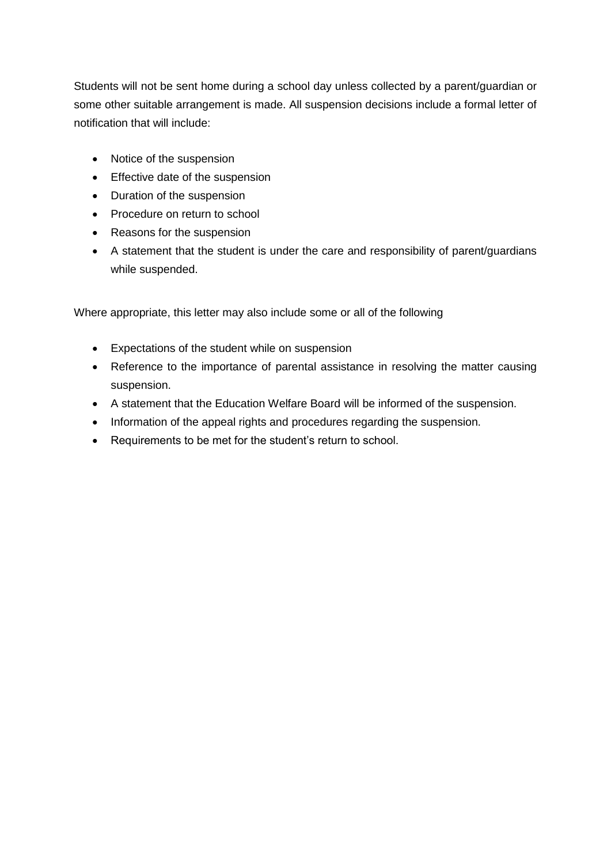Students will not be sent home during a school day unless collected by a parent/guardian or some other suitable arrangement is made. All suspension decisions include a formal letter of notification that will include:

- Notice of the suspension
- Effective date of the suspension
- Duration of the suspension
- Procedure on return to school
- Reasons for the suspension
- A statement that the student is under the care and responsibility of parent/guardians while suspended.

Where appropriate, this letter may also include some or all of the following

- Expectations of the student while on suspension
- Reference to the importance of parental assistance in resolving the matter causing suspension.
- A statement that the Education Welfare Board will be informed of the suspension.
- Information of the appeal rights and procedures regarding the suspension.
- Requirements to be met for the student's return to school.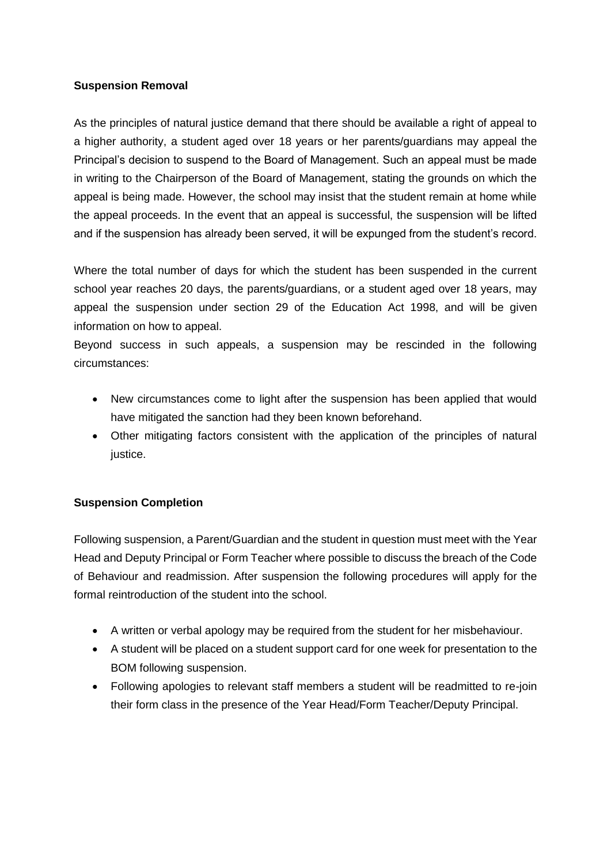#### **Suspension Removal**

As the principles of natural justice demand that there should be available a right of appeal to a higher authority, a student aged over 18 years or her parents/guardians may appeal the Principal's decision to suspend to the Board of Management. Such an appeal must be made in writing to the Chairperson of the Board of Management, stating the grounds on which the appeal is being made. However, the school may insist that the student remain at home while the appeal proceeds. In the event that an appeal is successful, the suspension will be lifted and if the suspension has already been served, it will be expunged from the student's record.

Where the total number of days for which the student has been suspended in the current school year reaches 20 days, the parents/guardians, or a student aged over 18 years, may appeal the suspension under section 29 of the Education Act 1998, and will be given information on how to appeal.

Beyond success in such appeals, a suspension may be rescinded in the following circumstances:

- New circumstances come to light after the suspension has been applied that would have mitigated the sanction had they been known beforehand.
- Other mitigating factors consistent with the application of the principles of natural justice.

#### **Suspension Completion**

Following suspension, a Parent/Guardian and the student in question must meet with the Year Head and Deputy Principal or Form Teacher where possible to discuss the breach of the Code of Behaviour and readmission. After suspension the following procedures will apply for the formal reintroduction of the student into the school.

- A written or verbal apology may be required from the student for her misbehaviour.
- A student will be placed on a student support card for one week for presentation to the BOM following suspension.
- Following apologies to relevant staff members a student will be readmitted to re-join their form class in the presence of the Year Head/Form Teacher/Deputy Principal.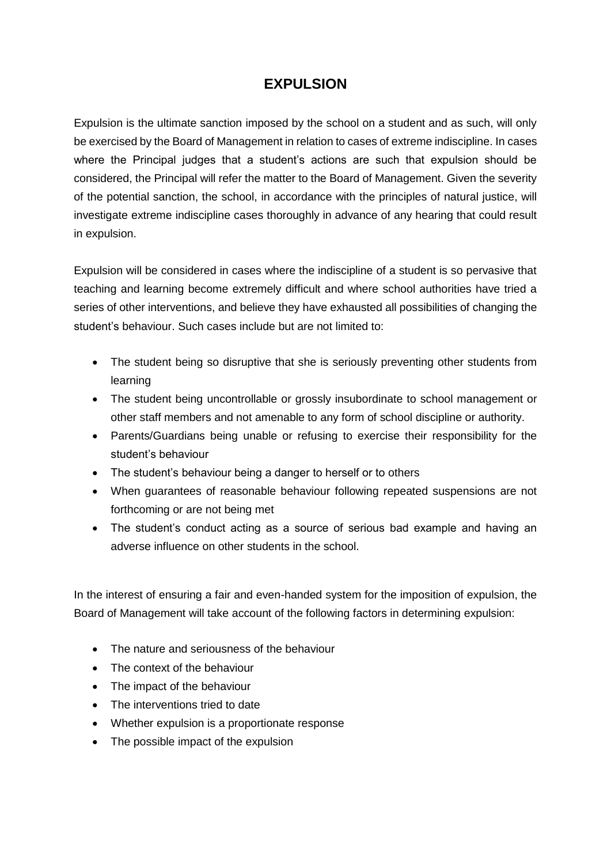# **EXPULSION**

Expulsion is the ultimate sanction imposed by the school on a student and as such, will only be exercised by the Board of Management in relation to cases of extreme indiscipline. In cases where the Principal judges that a student's actions are such that expulsion should be considered, the Principal will refer the matter to the Board of Management. Given the severity of the potential sanction, the school, in accordance with the principles of natural justice, will investigate extreme indiscipline cases thoroughly in advance of any hearing that could result in expulsion.

Expulsion will be considered in cases where the indiscipline of a student is so pervasive that teaching and learning become extremely difficult and where school authorities have tried a series of other interventions, and believe they have exhausted all possibilities of changing the student's behaviour. Such cases include but are not limited to:

- The student being so disruptive that she is seriously preventing other students from learning
- The student being uncontrollable or grossly insubordinate to school management or other staff members and not amenable to any form of school discipline or authority.
- Parents/Guardians being unable or refusing to exercise their responsibility for the student's behaviour
- The student's behaviour being a danger to herself or to others
- When guarantees of reasonable behaviour following repeated suspensions are not forthcoming or are not being met
- The student's conduct acting as a source of serious bad example and having an adverse influence on other students in the school.

In the interest of ensuring a fair and even-handed system for the imposition of expulsion, the Board of Management will take account of the following factors in determining expulsion:

- The nature and seriousness of the behaviour
- The context of the behaviour
- The impact of the behaviour
- The interventions tried to date
- Whether expulsion is a proportionate response
- The possible impact of the expulsion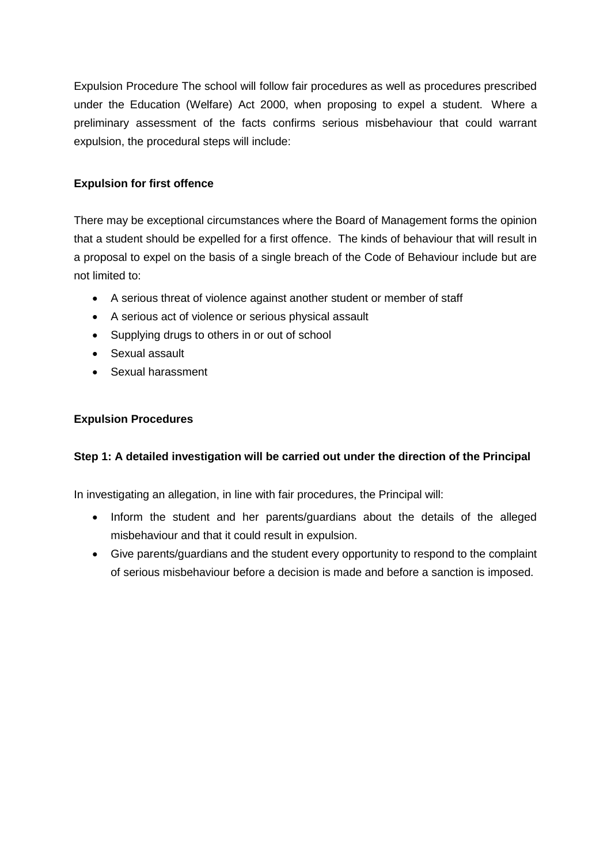Expulsion Procedure The school will follow fair procedures as well as procedures prescribed under the Education (Welfare) Act 2000, when proposing to expel a student. Where a preliminary assessment of the facts confirms serious misbehaviour that could warrant expulsion, the procedural steps will include:

# **Expulsion for first offence**

There may be exceptional circumstances where the Board of Management forms the opinion that a student should be expelled for a first offence. The kinds of behaviour that will result in a proposal to expel on the basis of a single breach of the Code of Behaviour include but are not limited to:

- A serious threat of violence against another student or member of staff
- A serious act of violence or serious physical assault
- Supplying drugs to others in or out of school
- Sexual assault
- Sexual harassment

#### **Expulsion Procedures**

#### **Step 1: A detailed investigation will be carried out under the direction of the Principal**

In investigating an allegation, in line with fair procedures, the Principal will:

- Inform the student and her parents/guardians about the details of the alleged misbehaviour and that it could result in expulsion.
- Give parents/guardians and the student every opportunity to respond to the complaint of serious misbehaviour before a decision is made and before a sanction is imposed.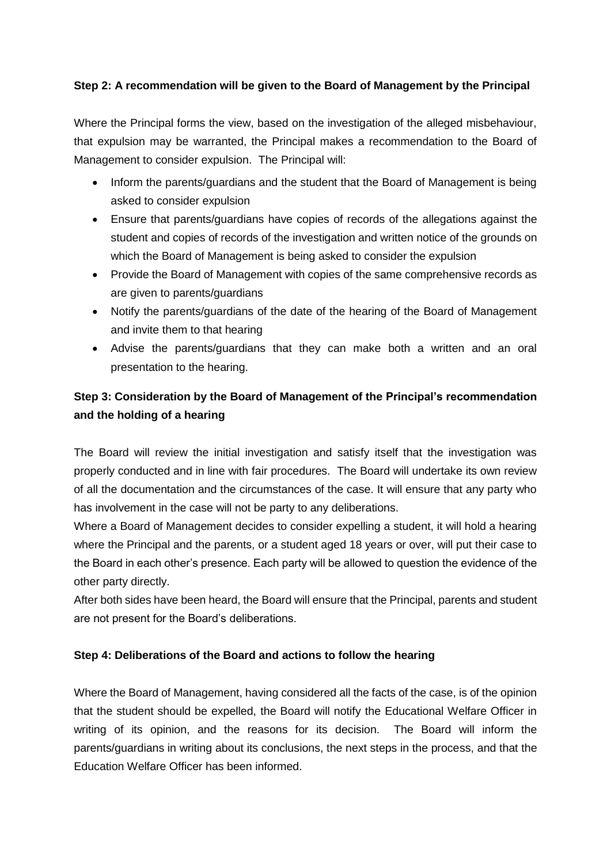## **Step 2: A recommendation will be given to the Board of Management by the Principal**

Where the Principal forms the view, based on the investigation of the alleged misbehaviour, that expulsion may be warranted, the Principal makes a recommendation to the Board of Management to consider expulsion. The Principal will:

- Inform the parents/guardians and the student that the Board of Management is being asked to consider expulsion
- Ensure that parents/guardians have copies of records of the allegations against the student and copies of records of the investigation and written notice of the grounds on which the Board of Management is being asked to consider the expulsion
- Provide the Board of Management with copies of the same comprehensive records as are given to parents/guardians
- Notify the parents/guardians of the date of the hearing of the Board of Management and invite them to that hearing
- Advise the parents/guardians that they can make both a written and an oral presentation to the hearing.

# **Step 3: Consideration by the Board of Management of the Principal's recommendation and the holding of a hearing**

The Board will review the initial investigation and satisfy itself that the investigation was properly conducted and in line with fair procedures. The Board will undertake its own review of all the documentation and the circumstances of the case. It will ensure that any party who has involvement in the case will not be party to any deliberations.

Where a Board of Management decides to consider expelling a student, it will hold a hearing where the Principal and the parents, or a student aged 18 years or over, will put their case to the Board in each other's presence. Each party will be allowed to question the evidence of the other party directly.

After both sides have been heard, the Board will ensure that the Principal, parents and student are not present for the Board's deliberations.

#### **Step 4: Deliberations of the Board and actions to follow the hearing**

Where the Board of Management, having considered all the facts of the case, is of the opinion that the student should be expelled, the Board will notify the Educational Welfare Officer in writing of its opinion, and the reasons for its decision. The Board will inform the parents/guardians in writing about its conclusions, the next steps in the process, and that the Education Welfare Officer has been informed.